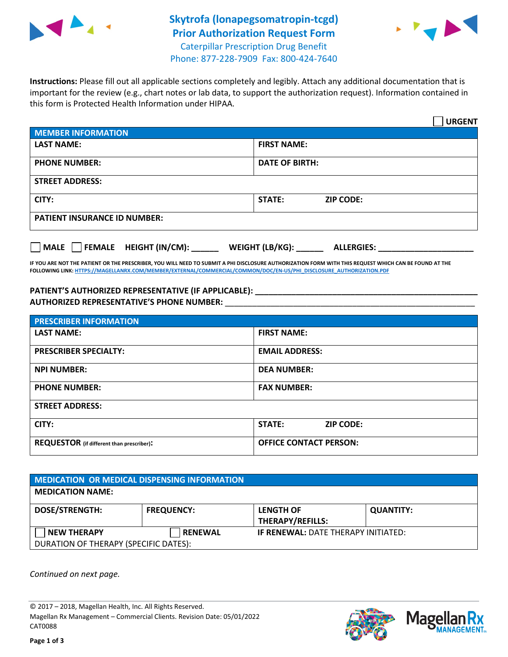

## **Skytrofa (lonapegsomatropin-tcgd) Prior Authorization Request Form** Caterpillar Prescription Drug Benefit



Phone: 877-228-7909 Fax: 800-424-7640

**Instructions:** Please fill out all applicable sections completely and legibly. Attach any additional documentation that is important for the review (e.g., chart notes or lab data, to support the authorization request). Information contained in this form is Protected Health Information under HIPAA.

|                                         | <b>URGENT</b>                        |  |  |
|-----------------------------------------|--------------------------------------|--|--|
| <b>MEMBER INFORMATION</b>               |                                      |  |  |
| <b>LAST NAME:</b>                       | <b>FIRST NAME:</b>                   |  |  |
| <b>PHONE NUMBER:</b>                    | <b>DATE OF BIRTH:</b>                |  |  |
| <b>STREET ADDRESS:</b>                  |                                      |  |  |
| CITY:                                   | <b>STATE:</b><br><b>ZIP CODE:</b>    |  |  |
| <b>PATIENT INSURANCE ID NUMBER:</b>     |                                      |  |  |
| $\Box$ FEMALE HEIGHT (IN/CM):<br>  MALE | WEIGHT (LB/KG):<br><b>ALLERGIES:</b> |  |  |

**IF YOU ARE NOT THE PATIENT OR THE PRESCRIBER, YOU WILL NEED TO SUBMIT A PHI DISCLOSURE AUTHORIZATION FORM WITH THIS REQUEST WHICH CAN BE FOUND AT THE FOLLOWING LINK[: HTTPS://MAGELLANRX.COM/MEMBER/EXTERNAL/COMMERCIAL/COMMON/DOC/EN-US/PHI\\_DISCLOSURE\\_AUTHORIZATION.PDF](https://magellanrx.com/member/external/commercial/common/doc/en-us/PHI_Disclosure_Authorization.pdf)**

**PATIENT'S AUTHORIZED REPRESENTATIVE (IF APPLICABLE): \_\_\_\_\_\_\_\_\_\_\_\_\_\_\_\_\_\_\_\_\_\_\_\_\_\_\_\_\_\_\_\_\_\_\_\_\_\_\_\_\_\_\_\_\_\_\_\_\_ AUTHORIZED REPRESENTATIVE'S PHONE NUMBER:** \_\_\_\_\_\_\_\_\_\_\_\_\_\_\_\_\_\_\_\_\_\_\_\_\_\_\_\_\_\_\_\_\_\_\_\_\_\_\_\_\_\_\_\_\_\_\_\_\_\_\_\_\_\_\_

| <b>PRESCRIBER INFORMATION</b>             |                               |  |  |  |
|-------------------------------------------|-------------------------------|--|--|--|
| <b>LAST NAME:</b>                         | <b>FIRST NAME:</b>            |  |  |  |
| <b>PRESCRIBER SPECIALTY:</b>              | <b>EMAIL ADDRESS:</b>         |  |  |  |
| <b>NPI NUMBER:</b>                        | <b>DEA NUMBER:</b>            |  |  |  |
| <b>PHONE NUMBER:</b>                      | <b>FAX NUMBER:</b>            |  |  |  |
| <b>STREET ADDRESS:</b>                    |                               |  |  |  |
| CITY:                                     | STATE:<br><b>ZIP CODE:</b>    |  |  |  |
| REQUESTOR (if different than prescriber): | <b>OFFICE CONTACT PERSON:</b> |  |  |  |

| MEDICATION OR MEDICAL DISPENSING INFORMATION |                   |                                             |                  |  |
|----------------------------------------------|-------------------|---------------------------------------------|------------------|--|
| <b>MEDICATION NAME:</b>                      |                   |                                             |                  |  |
| <b>DOSE/STRENGTH:</b>                        | <b>FREQUENCY:</b> | <b>LENGTH OF</b><br><b>THERAPY/REFILLS:</b> | <b>QUANTITY:</b> |  |
| <b>NEW THERAPY</b>                           | <b>RENEWAL</b>    | <b>IF RENEWAL: DATE THERAPY INITIATED:</b>  |                  |  |
| DURATION OF THERAPY (SPECIFIC DATES):        |                   |                                             |                  |  |

*Continued on next page.*

© 2017 – 2018, Magellan Health, Inc. All Rights Reserved. Magellan Rx Management – Commercial Clients. Revision Date: 05/01/2022 CAT0088



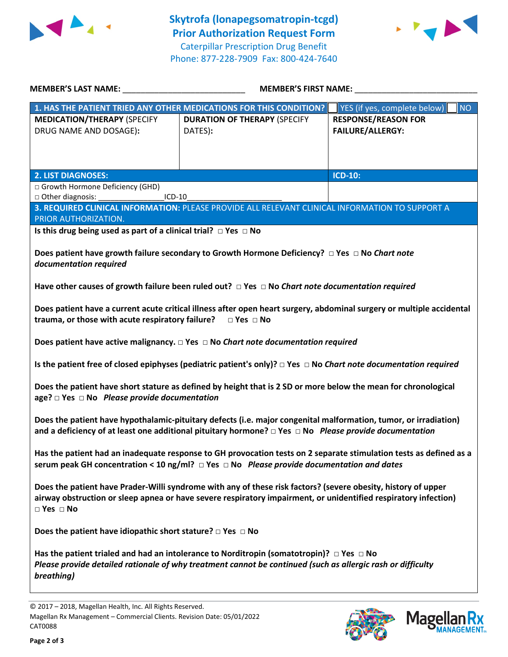



| <b>MEMBER'S LAST NAME:</b>                                                                                                                                                                                                                               | <b>MEMBER'S FIRST NAME:</b>                                                                     |                                                       |  |  |  |
|----------------------------------------------------------------------------------------------------------------------------------------------------------------------------------------------------------------------------------------------------------|-------------------------------------------------------------------------------------------------|-------------------------------------------------------|--|--|--|
|                                                                                                                                                                                                                                                          | 1. HAS THE PATIENT TRIED ANY OTHER MEDICATIONS FOR THIS CONDITION?                              | YES (if yes, complete below)<br>NO                    |  |  |  |
| <b>MEDICATION/THERAPY (SPECIFY</b><br>DRUG NAME AND DOSAGE):                                                                                                                                                                                             | <b>DURATION OF THERAPY (SPECIFY</b><br>DATES):                                                  | <b>RESPONSE/REASON FOR</b><br><b>FAILURE/ALLERGY:</b> |  |  |  |
| <b>2. LIST DIAGNOSES:</b>                                                                                                                                                                                                                                |                                                                                                 | <b>ICD-10:</b>                                        |  |  |  |
| □ Growth Hormone Deficiency (GHD)                                                                                                                                                                                                                        |                                                                                                 |                                                       |  |  |  |
| □ Other diagnosis:<br>$ICD-10$                                                                                                                                                                                                                           |                                                                                                 |                                                       |  |  |  |
| PRIOR AUTHORIZATION.                                                                                                                                                                                                                                     | 3. REQUIRED CLINICAL INFORMATION: PLEASE PROVIDE ALL RELEVANT CLINICAL INFORMATION TO SUPPORT A |                                                       |  |  |  |
| Is this drug being used as part of a clinical trial? $\Box$ Yes $\Box$ No                                                                                                                                                                                |                                                                                                 |                                                       |  |  |  |
| Does patient have growth failure secondary to Growth Hormone Deficiency? $\Box$ Yes $\Box$ No Chart note<br>documentation required                                                                                                                       |                                                                                                 |                                                       |  |  |  |
| Have other causes of growth failure been ruled out? $\Box$ Yes $\Box$ No Chart note documentation required                                                                                                                                               |                                                                                                 |                                                       |  |  |  |
| Does patient have a current acute critical illness after open heart surgery, abdominal surgery or multiple accidental<br>trauma, or those with acute respiratory failure? $\Box$ Yes $\Box$ No                                                           |                                                                                                 |                                                       |  |  |  |
| Does patient have active malignancy. $\Box$ Yes $\Box$ No Chart note documentation required                                                                                                                                                              |                                                                                                 |                                                       |  |  |  |
| Is the patient free of closed epiphyses (pediatric patient's only)? $\Box$ Yes $\Box$ No Chart note documentation required                                                                                                                               |                                                                                                 |                                                       |  |  |  |
| Does the patient have short stature as defined by height that is 2 SD or more below the mean for chronological<br>age? $\Box$ Yes $\Box$ No Please provide documentation                                                                                 |                                                                                                 |                                                       |  |  |  |
| Does the patient have hypothalamic-pituitary defects (i.e. major congenital malformation, tumor, or irradiation)<br>and a deficiency of at least one additional pituitary hormone? □ Yes □ No Please provide documentation                               |                                                                                                 |                                                       |  |  |  |
| Has the patient had an inadequate response to GH provocation tests on 2 separate stimulation tests as defined as a<br>serum peak GH concentration < 10 ng/ml? $\Box$ Yes $\Box$ No Please provide documentation and dates                                |                                                                                                 |                                                       |  |  |  |
| Does the patient have Prader-Willi syndrome with any of these risk factors? (severe obesity, history of upper<br>airway obstruction or sleep apnea or have severe respiratory impairment, or unidentified respiratory infection)<br>$\Box$ Yes $\Box$ No |                                                                                                 |                                                       |  |  |  |
| Does the patient have idiopathic short stature? $\Box$ Yes $\Box$ No                                                                                                                                                                                     |                                                                                                 |                                                       |  |  |  |
| Has the patient trialed and had an intolerance to Norditropin (somatotropin)? $\Box$ Yes $\Box$ No<br>Please provide detailed rationale of why treatment cannot be continued (such as allergic rash or difficulty<br>breathing)                          |                                                                                                 |                                                       |  |  |  |

**Page 2 of 3**